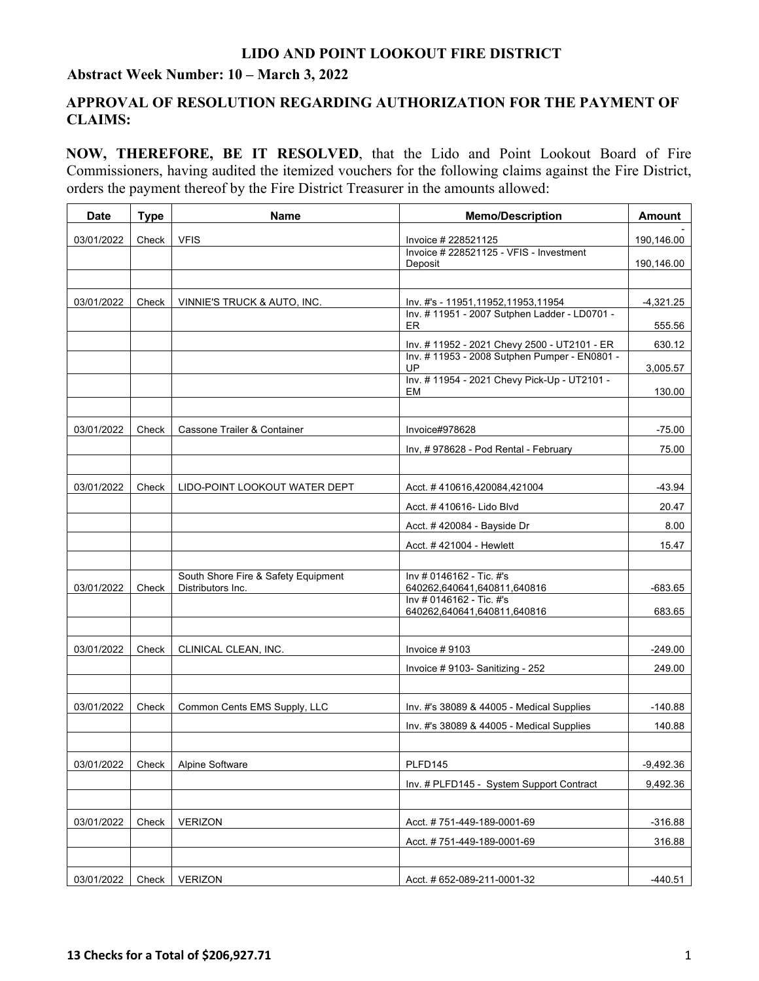## **LIDO AND POINT LOOKOUT FIRE DISTRICT**

### **Abstract Week Number: 10 – March 3, 2022**

## **APPROVAL OF RESOLUTION REGARDING AUTHORIZATION FOR THE PAYMENT OF CLAIMS:**

**NOW, THEREFORE, BE IT RESOLVED**, that the Lido and Point Lookout Board of Fire Commissioners, having audited the itemized vouchers for the following claims against the Fire District, orders the payment thereof by the Fire District Treasurer in the amounts allowed:

| <b>Date</b> | <b>Type</b> | Name                                                     | <b>Memo/Description</b>                                 | Amount      |
|-------------|-------------|----------------------------------------------------------|---------------------------------------------------------|-------------|
| 03/01/2022  | Check       | <b>VFIS</b>                                              | Invoice # 228521125                                     | 190,146.00  |
|             |             |                                                          | Invoice # 228521125 - VFIS - Investment<br>Deposit      | 190,146.00  |
|             |             |                                                          |                                                         |             |
| 03/01/2022  | Check       | VINNIE'S TRUCK & AUTO, INC.                              | Inv. #'s - 11951,11952,11953,11954                      | $-4,321.25$ |
|             |             |                                                          | Inv. # 11951 - 2007 Sutphen Ladder - LD0701 -<br>ER.    | 555.56      |
|             |             |                                                          | Inv. # 11952 - 2021 Chevy 2500 - UT2101 - ER            | 630.12      |
|             |             |                                                          | Inv. # 11953 - 2008 Sutphen Pumper - EN0801 -<br>UP     | 3,005.57    |
|             |             |                                                          | Inv. # 11954 - 2021 Chevy Pick-Up - UT2101 -<br>EM      | 130.00      |
|             |             |                                                          |                                                         |             |
| 03/01/2022  | Check       | Cassone Trailer & Container                              | Invoice#978628                                          | $-75.00$    |
|             |             |                                                          | Inv, #978628 - Pod Rental - February                    | 75.00       |
|             |             |                                                          |                                                         |             |
| 03/01/2022  | Check       | LIDO-POINT LOOKOUT WATER DEPT                            | Acct. #410616,420084,421004                             | $-43.94$    |
|             |             |                                                          | Acct. #410616- Lido Blvd                                | 20.47       |
|             |             |                                                          | Acct. #420084 - Bayside Dr                              | 8.00        |
|             |             |                                                          | Acct. #421004 - Hewlett                                 | 15.47       |
| 03/01/2022  | Check       | South Shore Fire & Safety Equipment<br>Distributors Inc. | Inv # 0146162 - Tic. #'s<br>640262,640641,640811,640816 | $-683.65$   |
|             |             |                                                          | Inv # 0146162 - Tic. #'s<br>640262,640641,640811,640816 | 683.65      |
|             |             |                                                          |                                                         |             |
| 03/01/2022  | Check       | CLINICAL CLEAN, INC.                                     | Invoice $# 9103$                                        | $-249.00$   |
|             |             |                                                          | Invoice #9103-Sanitizing - 252                          | 249.00      |
|             |             |                                                          |                                                         |             |
| 03/01/2022  | Check       | Common Cents EMS Supply, LLC                             | Inv. #'s 38089 & 44005 - Medical Supplies               | $-140.88$   |
|             |             |                                                          | Inv. #'s 38089 & 44005 - Medical Supplies               | 140.88      |
|             |             |                                                          |                                                         |             |
| 03/01/2022  | Check       | Alpine Software                                          | PLFD145                                                 | $-9,492.36$ |
|             |             |                                                          | Inv. # PLFD145 - System Support Contract                | 9,492.36    |
| 03/01/2022  | Check       | <b>VERIZON</b>                                           | Acct. #751-449-189-0001-69                              | $-316.88$   |
|             |             |                                                          | Acct. #751-449-189-0001-69                              | 316.88      |
|             |             |                                                          |                                                         |             |
| 03/01/2022  | Check       | <b>VERIZON</b>                                           | Acct. # 652-089-211-0001-32                             | $-440.51$   |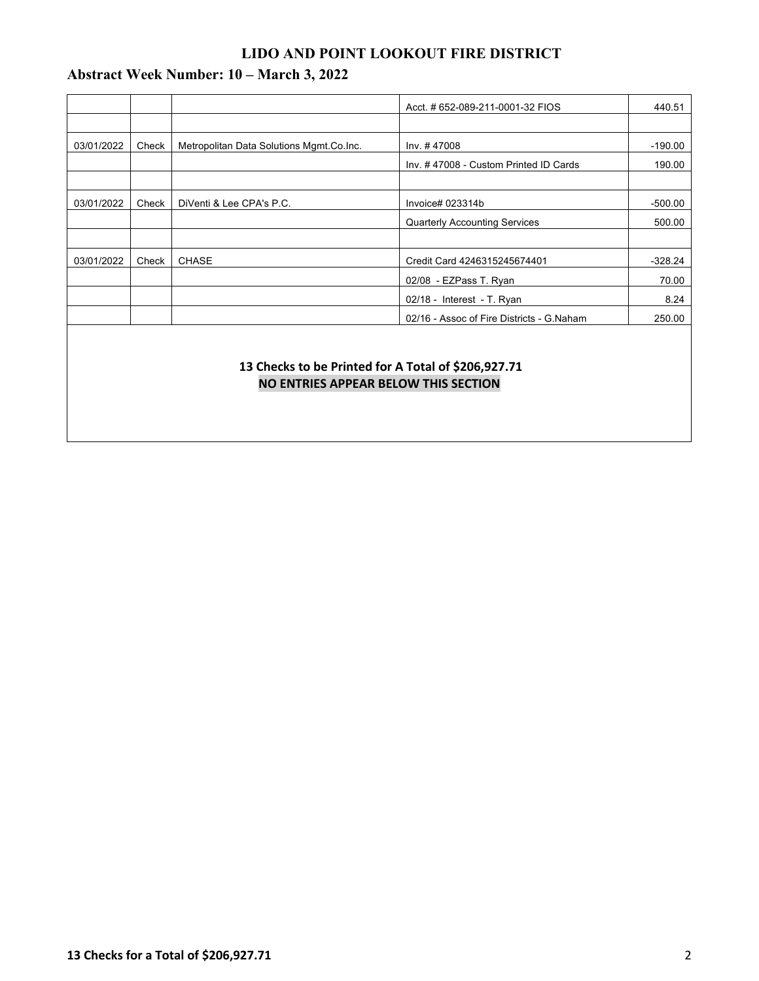# **LIDO AND POINT LOOKOUT FIRE DISTRICT**

# **Abstract Week Number: 10 – March 3, 2022**

|            |       |                                          | Acct. # 652-089-211-0001-32 FIOS          | 440.51    |
|------------|-------|------------------------------------------|-------------------------------------------|-----------|
|            |       |                                          |                                           |           |
| 03/01/2022 | Check | Metropolitan Data Solutions Mgmt.Co.Inc. | Inv. #47008                               | $-190.00$ |
|            |       |                                          | Inv. #47008 - Custom Printed ID Cards     | 190.00    |
|            |       |                                          |                                           |           |
| 03/01/2022 | Check | DiVenti & Lee CPA's P.C.                 | Invoice# 023314b                          | $-500.00$ |
|            |       |                                          | <b>Quarterly Accounting Services</b>      | 500.00    |
|            |       |                                          |                                           |           |
| 03/01/2022 | Check | <b>CHASE</b>                             | Credit Card 4246315245674401              | $-328.24$ |
|            |       |                                          | 02/08 - EZPass T. Ryan                    | 70.00     |
|            |       |                                          | $02/18$ - Interest - T. Ryan              | 8.24      |
|            |       |                                          | 02/16 - Assoc of Fire Districts - G.Naham | 250.00    |
|            |       |                                          |                                           |           |

## **13 Checks to be Printed for A Total of \$206,927.71 NO ENTRIES APPEAR BELOW THIS SECTION**